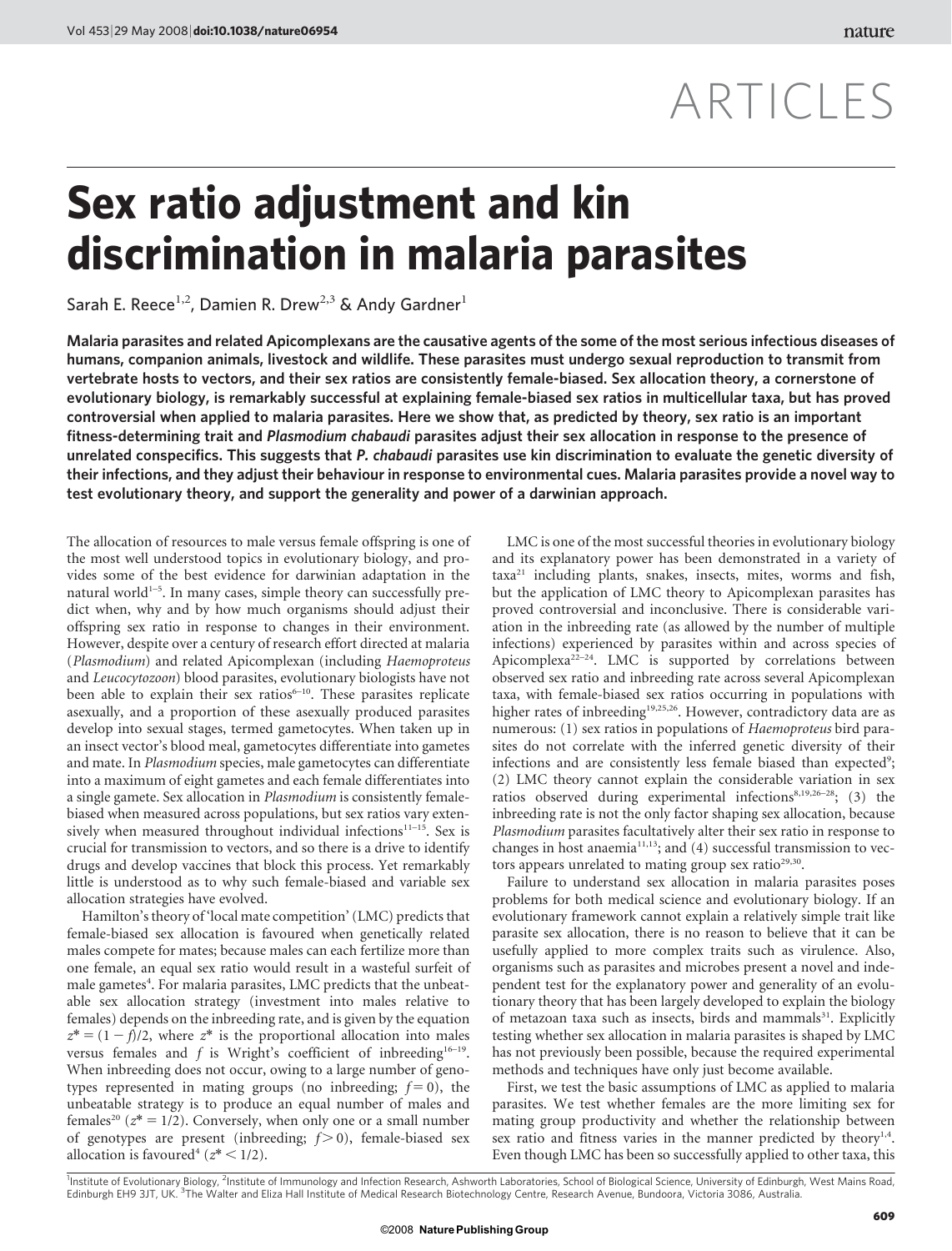# ARTICLES

## Sex ratio adjustment and kin discrimination in malaria parasites

Sarah E. Reece<sup>1,2</sup>, Damien R. Drew<sup>2,3</sup> & Andy Gardner<sup>1</sup>

Malaria parasites and related Apicomplexans are the causative agents of the some of the most serious infectious diseases of humans, companion animals, livestock and wildlife. These parasites must undergo sexual reproduction to transmit from vertebrate hosts to vectors, and their sex ratios are consistently female-biased. Sex allocation theory, a cornerstone of evolutionary biology, is remarkably successful at explaining female-biased sex ratios in multicellular taxa, but has proved controversial when applied to malaria parasites. Here we show that, as predicted by theory, sex ratio is an important fitness-determining trait and Plasmodium chabaudi parasites adjust their sex allocation in response to the presence of unrelated conspecifics. This suggests that P. chabaudi parasites use kin discrimination to evaluate the genetic diversity of their infections, and they adjust their behaviour in response to environmental cues. Malaria parasites provide a novel way to test evolutionary theory, and support the generality and power of a darwinian approach.

The allocation of resources to male versus female offspring is one of the most well understood topics in evolutionary biology, and provides some of the best evidence for darwinian adaptation in the natural world $1-5$ . In many cases, simple theory can successfully predict when, why and by how much organisms should adjust their offspring sex ratio in response to changes in their environment. However, despite over a century of research effort directed at malaria (Plasmodium) and related Apicomplexan (including Haemoproteus and Leucocytozoon) blood parasites, evolutionary biologists have not been able to explain their sex ratios<sup>6-10</sup>. These parasites replicate asexually, and a proportion of these asexually produced parasites develop into sexual stages, termed gametocytes. When taken up in an insect vector's blood meal, gametocytes differentiate into gametes and mate. In Plasmodium species, male gametocytes can differentiate into a maximum of eight gametes and each female differentiates into a single gamete. Sex allocation in Plasmodium is consistently femalebiased when measured across populations, but sex ratios vary extensively when measured throughout individual infections $11-15$ . Sex is crucial for transmission to vectors, and so there is a drive to identify drugs and develop vaccines that block this process. Yet remarkably little is understood as to why such female-biased and variable sex allocation strategies have evolved.

Hamilton's theory of 'local mate competition' (LMC) predicts that female-biased sex allocation is favoured when genetically related males compete for mates; because males can each fertilize more than one female, an equal sex ratio would result in a wasteful surfeit of male gametes<sup>4</sup>. For malaria parasites, LMC predicts that the unbeatable sex allocation strategy (investment into males relative to females) depends on the inbreeding rate, and is given by the equation  $z^* = (1 - f)/2$ , where  $z^*$  is the proportional allocation into males versus females and  $f$  is Wright's coefficient of inbreeding<sup>16-19</sup>. When inbreeding does not occur, owing to a large number of genotypes represented in mating groups (no inbreeding;  $f = 0$ ), the unbeatable strategy is to produce an equal number of males and females<sup>20</sup> ( $z^* = 1/2$ ). Conversely, when only one or a small number of genotypes are present (inbreeding;  $f > 0$ ), female-biased sex allocation is favoured<sup>4</sup> ( $z^*$  < 1/2).

LMC is one of the most successful theories in evolutionary biology and its explanatory power has been demonstrated in a variety of taxa<sup>21</sup> including plants, snakes, insects, mites, worms and fish, but the application of LMC theory to Apicomplexan parasites has proved controversial and inconclusive. There is considerable variation in the inbreeding rate (as allowed by the number of multiple infections) experienced by parasites within and across species of Apicomplexa<sup>22-24</sup>. LMC is supported by correlations between observed sex ratio and inbreeding rate across several Apicomplexan taxa, with female-biased sex ratios occurring in populations with higher rates of inbreeding<sup>19,25,26</sup>. However, contradictory data are as numerous: (1) sex ratios in populations of Haemoproteus bird parasites do not correlate with the inferred genetic diversity of their infections and are consistently less female biased than expected<sup>9</sup>; (2) LMC theory cannot explain the considerable variation in sex ratios observed during experimental infections<sup>8,19,26–28</sup>; (3) the inbreeding rate is not the only factor shaping sex allocation, because Plasmodium parasites facultatively alter their sex ratio in response to changes in host anaemia<sup>11,13</sup>; and (4) successful transmission to vectors appears unrelated to mating group sex ratio<sup>29,30</sup>.

Failure to understand sex allocation in malaria parasites poses problems for both medical science and evolutionary biology. If an evolutionary framework cannot explain a relatively simple trait like parasite sex allocation, there is no reason to believe that it can be usefully applied to more complex traits such as virulence. Also, organisms such as parasites and microbes present a novel and independent test for the explanatory power and generality of an evolutionary theory that has been largely developed to explain the biology of metazoan taxa such as insects, birds and mammals<sup>31</sup>. Explicitly testing whether sex allocation in malaria parasites is shaped by LMC has not previously been possible, because the required experimental methods and techniques have only just become available.

First, we test the basic assumptions of LMC as applied to malaria parasites. We test whether females are the more limiting sex for mating group productivity and whether the relationship between sex ratio and fitness varies in the manner predicted by theory $1.4$ . Even though LMC has been so successfully applied to other taxa, this

<sup>1</sup>Institute of Evolutionary Biology, <sup>2</sup>Institute of Immunology and Infection Research, Ashworth Laboratories, School of Biological Science, University of Edinburgh, West Mains Road, Edinburgh EH9 3JT, UK. <sup>3</sup>The Walter and Eliza Hall Institute of Medical Research Biotechnology Centre, Research Avenue, Bundoora, Victoria 3086, Australia.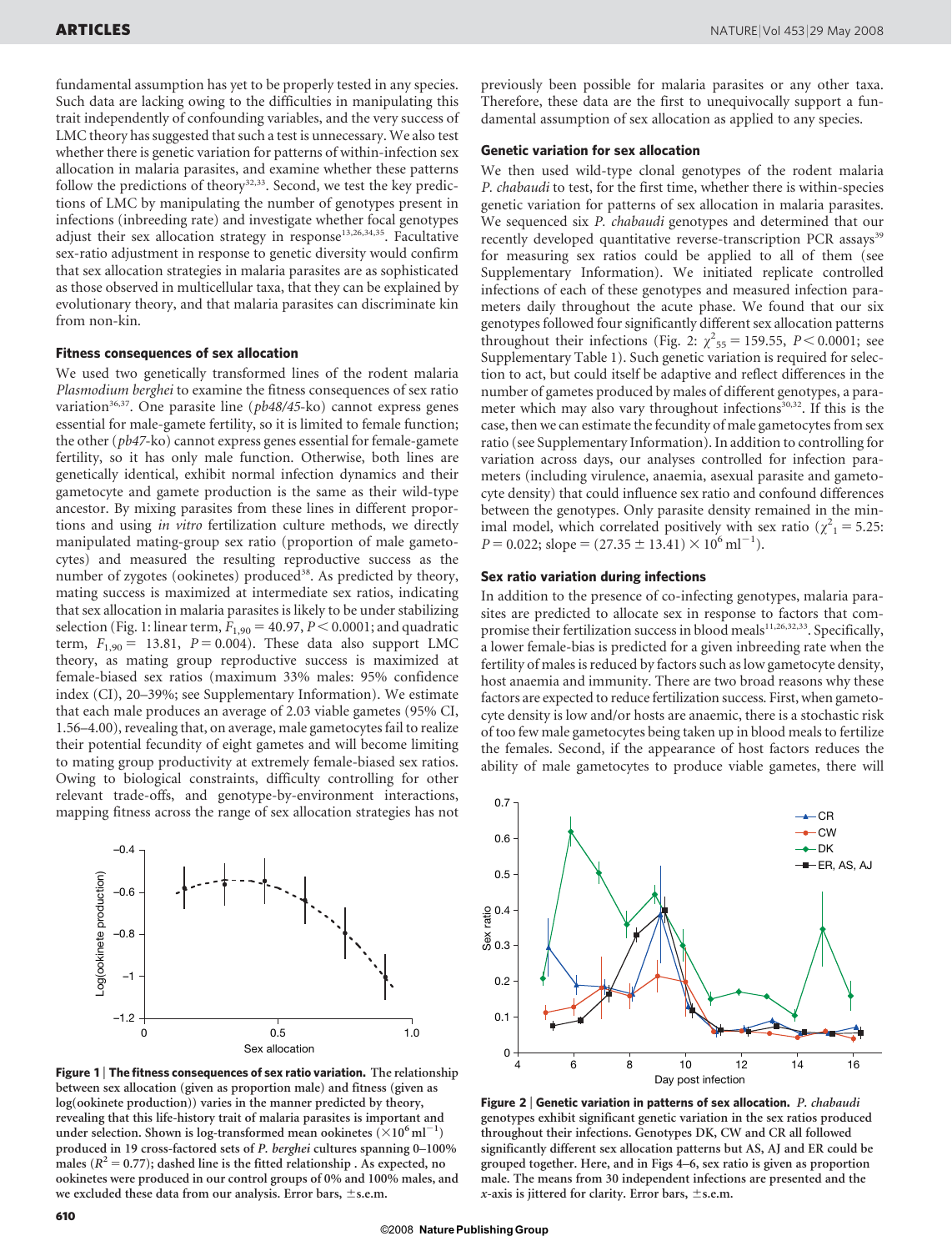fundamental assumption has yet to be properly tested in any species. Such data are lacking owing to the difficulties in manipulating this trait independently of confounding variables, and the very success of LMC theory has suggested that such a test is unnecessary. We also test whether there is genetic variation for patterns of within-infection sex allocation in malaria parasites, and examine whether these patterns follow the predictions of theory<sup>32,33</sup>. Second, we test the key predictions of LMC by manipulating the number of genotypes present in infections (inbreeding rate) and investigate whether focal genotypes adjust their sex allocation strategy in response<sup>13,26,34,35</sup>. Facultative sex-ratio adjustment in response to genetic diversity would confirm that sex allocation strategies in malaria parasites are as sophisticated as those observed in multicellular taxa, that they can be explained by evolutionary theory, and that malaria parasites can discriminate kin from non-kin.

#### Fitness consequences of sex allocation

We used two genetically transformed lines of the rodent malaria Plasmodium berghei to examine the fitness consequences of sex ratio variation<sup>36,37</sup>. One parasite line ( $pb48/45$ -ko) cannot express genes essential for male-gamete fertility, so it is limited to female function; the other (pb47-ko) cannot express genes essential for female-gamete fertility, so it has only male function. Otherwise, both lines are genetically identical, exhibit normal infection dynamics and their gametocyte and gamete production is the same as their wild-type ancestor. By mixing parasites from these lines in different proportions and using in vitro fertilization culture methods, we directly manipulated mating-group sex ratio (proportion of male gametocytes) and measured the resulting reproductive success as the number of zygotes (ookinetes) produced<sup>38</sup>. As predicted by theory, mating success is maximized at intermediate sex ratios, indicating that sex allocation in malaria parasites is likely to be under stabilizing selection (Fig. 1: linear term,  $F_{1,90} = 40.97$ ,  $P < 0.0001$ ; and quadratic term,  $F_{1,90} = 13.81$ ,  $P = 0.004$ ). These data also support LMC theory, as mating group reproductive success is maximized at female-biased sex ratios (maximum 33% males: 95% confidence index (CI), 20–39%; see Supplementary Information). We estimate that each male produces an average of 2.03 viable gametes (95% CI, 1.56–4.00), revealing that, on average, male gametocytes fail to realize their potential fecundity of eight gametes and will become limiting to mating group productivity at extremely female-biased sex ratios. Owing to biological constraints, difficulty controlling for other relevant trade-offs, and genotype-by-environment interactions, mapping fitness across the range of sex allocation strategies has not



Figure 1 | The fitness consequences of sex ratio variation. The relationship between sex allocation (given as proportion male) and fitness (given as log(ookinete production)) varies in the manner predicted by theory, revealing that this life-history trait of malaria parasites is important and under selection. Shown is log-transformed mean ookinetes ( $\times 10^6$  ml<sup>-1</sup>) produced in 19 cross-factored sets of P. berghei cultures spanning 0–100% males ( $R^2 = 0.77$ ); dashed line is the fitted relationship . As expected, no ookinetes were produced in our control groups of 0% and 100% males, and we excluded these data from our analysis. Error bars,  $\pm$ s.e.m.

previously been possible for malaria parasites or any other taxa. Therefore, these data are the first to unequivocally support a fundamental assumption of sex allocation as applied to any species.

#### Genetic variation for sex allocation

We then used wild-type clonal genotypes of the rodent malaria P. chabaudi to test, for the first time, whether there is within-species genetic variation for patterns of sex allocation in malaria parasites. We sequenced six P. chabaudi genotypes and determined that our recently developed quantitative reverse-transcription PCR assays<sup>39</sup> for measuring sex ratios could be applied to all of them (see Supplementary Information). We initiated replicate controlled infections of each of these genotypes and measured infection parameters daily throughout the acute phase. We found that our six genotypes followed four significantly different sex allocation patterns throughout their infections (Fig. 2:  $\chi^2_{55} = 159.55$ ,  $P < 0.0001$ ; see Supplementary Table 1). Such genetic variation is required for selection to act, but could itself be adaptive and reflect differences in the number of gametes produced by males of different genotypes, a parameter which may also vary throughout infections<sup>30,32</sup>. If this is the case, then we can estimate the fecundity of male gametocytes from sex ratio (see Supplementary Information). In addition to controlling for variation across days, our analyses controlled for infection parameters (including virulence, anaemia, asexual parasite and gametocyte density) that could influence sex ratio and confound differences between the genotypes. Only parasite density remained in the minimal model, which correlated positively with sex ratio ( $\chi^2$ <sub>1</sub> = 5.25:  $P = 0.022$ ; slope =  $(27.35 \pm 13.41) \times 10^6$  ml<sup>-1</sup>).

#### Sex ratio variation during infections

In addition to the presence of co-infecting genotypes, malaria parasites are predicted to allocate sex in response to factors that compromise their fertilization success in blood meals<sup>11,26,32,33</sup>. Specifically, a lower female-bias is predicted for a given inbreeding rate when the fertility of males is reduced by factors such as low gametocyte density, host anaemia and immunity. There are two broad reasons why these factors are expected to reduce fertilization success. First, when gametocyte density is low and/or hosts are anaemic, there is a stochastic risk of too few male gametocytes being taken up in blood meals to fertilize the females. Second, if the appearance of host factors reduces the ability of male gametocytes to produce viable gametes, there will



Figure 2 | Genetic variation in patterns of sex allocation. P. chabaudi genotypes exhibit significant genetic variation in the sex ratios produced throughout their infections. Genotypes DK, CW and CR all followed significantly different sex allocation patterns but AS, AJ and ER could be grouped together. Here, and in Figs 4–6, sex ratio is given as proportion male. The means from 30 independent infections are presented and the x-axis is jittered for clarity. Error bars,  $\pm$ s.e.m.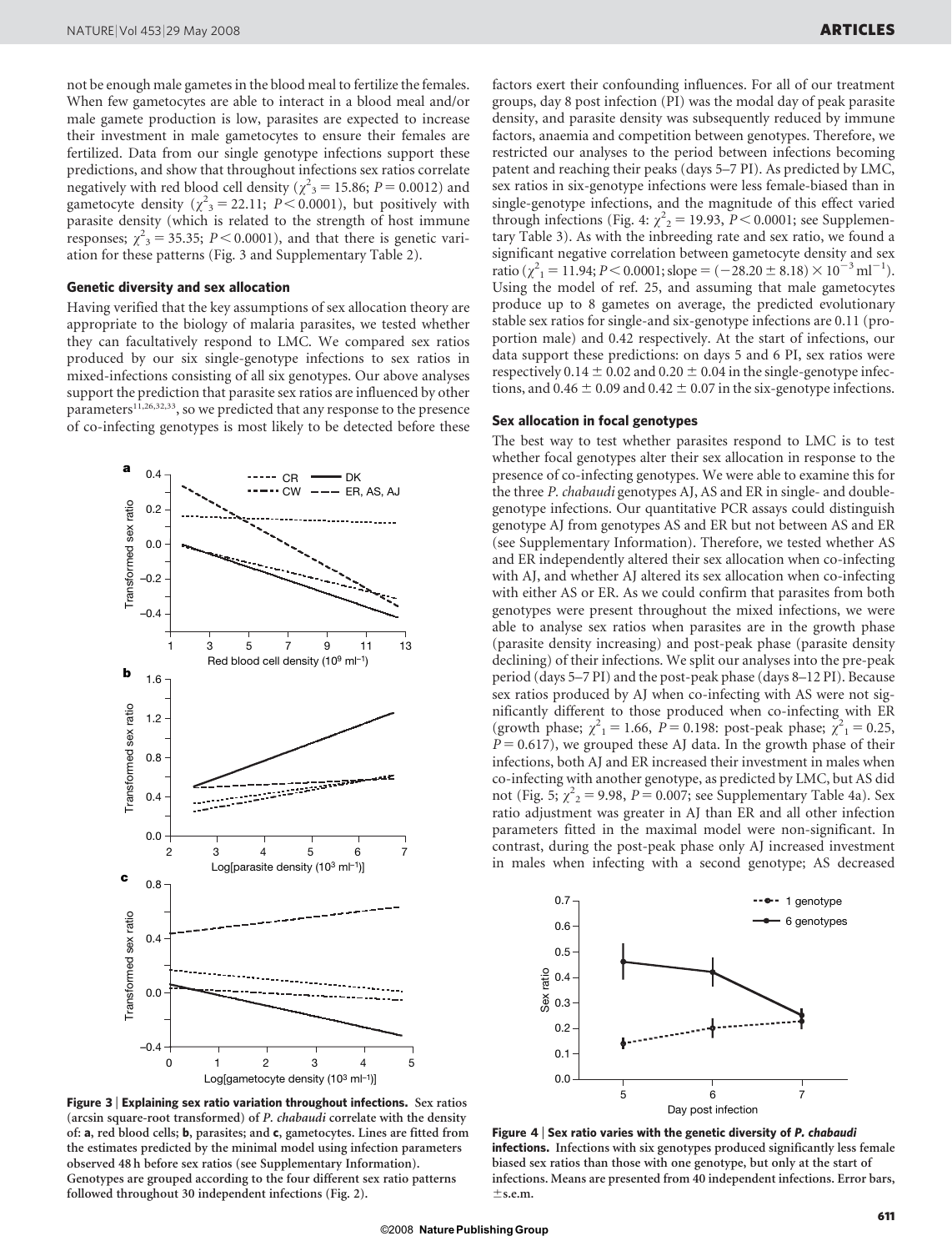not be enough male gametes in the blood meal to fertilize the females. When few gametocytes are able to interact in a blood meal and/or male gamete production is low, parasites are expected to increase their investment in male gametocytes to ensure their females are fertilized. Data from our single genotype infections support these predictions, and show that throughout infections sex ratios correlate negatively with red blood cell density ( $\chi^2$ <sub>3</sub> = 15.86; P = 0.0012) and gametocyte density ( $\chi^2$ <sub>3</sub> = 22.11; *P* < 0.0001), but positively with parasite density (which is related to the strength of host immune responses;  $\chi^2$ <sub>3</sub> = 35.35; *P* < 0.0001), and that there is genetic variation for these patterns (Fig. 3 and Supplementary Table 2).

#### Genetic diversity and sex allocation

Having verified that the key assumptions of sex allocation theory are appropriate to the biology of malaria parasites, we tested whether they can facultatively respond to LMC. We compared sex ratios produced by our six single-genotype infections to sex ratios in mixed-infections consisting of all six genotypes. Our above analyses support the prediction that parasite sex ratios are influenced by other parameters<sup>11,26,32,33</sup>, so we predicted that any response to the presence of co-infecting genotypes is most likely to be detected before these



Figure 3 <sup>|</sup> Explaining sex ratio variation throughout infections. Sex ratios (arcsin square-root transformed) of P. chabaudi correlate with the density of: a, red blood cells; b, parasites; and c, gametocytes. Lines are fitted from the estimates predicted by the minimal model using infection parameters observed 48 h before sex ratios (see Supplementary Information). Genotypes are grouped according to the four different sex ratio patterns followed throughout 30 independent infections (Fig. 2).

factors exert their confounding influences. For all of our treatment groups, day 8 post infection (PI) was the modal day of peak parasite density, and parasite density was subsequently reduced by immune factors, anaemia and competition between genotypes. Therefore, we restricted our analyses to the period between infections becoming patent and reaching their peaks (days 5–7 PI). As predicted by LMC, sex ratios in six-genotype infections were less female-biased than in single-genotype infections, and the magnitude of this effect varied through infections (Fig. 4:  $\chi^2$ <sub>2</sub> = 19.93, *P* < 0.0001; see Supplementary Table 3). As with the inbreeding rate and sex ratio, we found a significant negative correlation between gametocyte density and sex ratio ( $\chi^2$ <sub>1</sub> = 11.94; *P* < 0.0001; slope = (-28.20 ± 8.18) × 10<sup>-3</sup> ml<sup>-1</sup>). Using the model of ref. 25, and assuming that male gametocytes produce up to 8 gametes on average, the predicted evolutionary stable sex ratios for single-and six-genotype infections are 0.11 (proportion male) and 0.42 respectively. At the start of infections, our data support these predictions: on days 5 and 6 PI, sex ratios were respectively 0.14  $\pm$  0.02 and 0.20  $\pm$  0.04 in the single-genotype infections, and  $0.46 \pm 0.09$  and  $0.42 \pm 0.07$  in the six-genotype infections.

#### Sex allocation in focal genotypes

The best way to test whether parasites respond to LMC is to test whether focal genotypes alter their sex allocation in response to the presence of co-infecting genotypes. We were able to examine this for the three P. chabaudi genotypes AJ, AS and ER in single- and doublegenotype infections. Our quantitative PCR assays could distinguish genotype AJ from genotypes AS and ER but not between AS and ER (see Supplementary Information). Therefore, we tested whether AS and ER independently altered their sex allocation when co-infecting with AJ, and whether AJ altered its sex allocation when co-infecting with either AS or ER. As we could confirm that parasites from both genotypes were present throughout the mixed infections, we were able to analyse sex ratios when parasites are in the growth phase (parasite density increasing) and post-peak phase (parasite density declining) of their infections. We split our analyses into the pre-peak period (days 5–7 PI) and the post-peak phase (days 8–12 PI). Because sex ratios produced by AJ when co-infecting with AS were not significantly different to those produced when co-infecting with ER (growth phase;  $\chi^2_1 = 1.66$ ,  $P = 0.198$ : post-peak phase;  $\chi^2_1 = 0.25$ ,  $P = 0.617$ ), we grouped these AJ data. In the growth phase of their infections, both AJ and ER increased their investment in males when co-infecting with another genotype, as predicted by LMC, but AS did not (Fig. 5;  $\chi^2$ <sub>2</sub> = 9.98, *P* = 0.007; see Supplementary Table 4a). Sex ratio adjustment was greater in AJ than ER and all other infection parameters fitted in the maximal model were non-significant. In contrast, during the post-peak phase only AJ increased investment in males when infecting with a second genotype; AS decreased



Figure 4 | Sex ratio varies with the genetic diversity of  $P$ . chabaudi infections. Infections with six genotypes produced significantly less female biased sex ratios than those with one genotype, but only at the start of infections. Means are presented from 40 independent infections. Error bars,  $\pm$ s.e.m.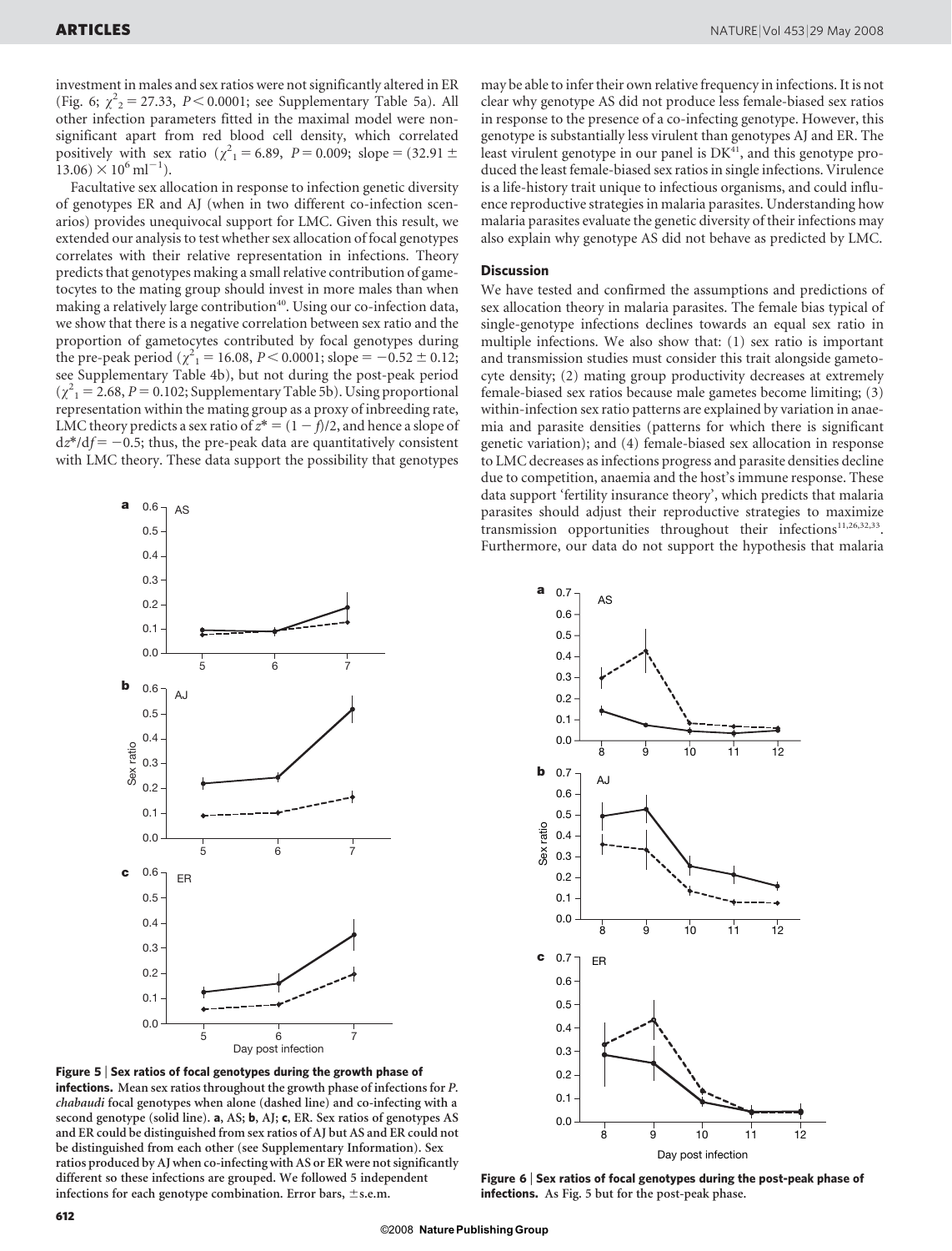investment in males and sex ratios were not significantly altered in ER (Fig. 6;  $\chi^2$ <sub>2</sub> = 27.33, *P* < 0.0001; see Supplementary Table 5a). All other infection parameters fitted in the maximal model were nonsignificant apart from red blood cell density, which correlated positively with sex ratio ( $\chi^2$ <sub>1</sub> = 6.89, *P* = 0.009; slope = (32.91 ±  $13.06 \times 10^6 \text{ ml}^{-1}$ ).

Facultative sex allocation in response to infection genetic diversity of genotypes ER and AJ (when in two different co-infection scenarios) provides unequivocal support for LMC. Given this result, we extended our analysis to test whether sex allocation of focal genotypes correlates with their relative representation in infections. Theory predicts that genotypes making a small relative contribution of gametocytes to the mating group should invest in more males than when making a relatively large contribution<sup>40</sup>. Using our co-infection data, we show that there is a negative correlation between sex ratio and the proportion of gametocytes contributed by focal genotypes during the pre-peak period ( $\chi^2$ <sub>1</sub> = 16.08, *P* < 0.0001; slope = -0.52 ± 0.12; see Supplementary Table 4b), but not during the post-peak period  $(\chi^2) = 2.68$ ,  $P = 0.102$ ; Supplementary Table 5b). Using proportional representation within the mating group as a proxy of inbreeding rate, LMC theory predicts a sex ratio of  $z^* = (1 - f)/2$ , and hence a slope of  $dz^*/df = -0.5$ ; thus, the pre-peak data are quantitatively consistent with LMC theory. These data support the possibility that genotypes



Figure 5 <sup>|</sup> Sex ratios of focal genotypes during the growth phase of infections. Mean sex ratios throughout the growth phase of infections for P. chabaudi focal genotypes when alone (dashed line) and co-infecting with a second genotype (solid line). a, AS; b, AJ; c, ER. Sex ratios of genotypes AS and ER could be distinguished from sex ratios of AJ but AS and ER could not be distinguished from each other (see Supplementary Information). Sex ratios produced by AJ when co-infecting with AS or ER were not significantly different so these infections are grouped. We followed 5 independent infections for each genotype combination. Error bars,  $\pm$  s.e.m.

may be able to infer their own relative frequency in infections. It is not clear why genotype AS did not produce less female-biased sex ratios in response to the presence of a co-infecting genotype. However, this genotype is substantially less virulent than genotypes AJ and ER. The least virulent genotype in our panel is  $DK<sup>41</sup>$ , and this genotype produced the least female-biased sex ratios in single infections. Virulence is a life-history trait unique to infectious organisms, and could influence reproductive strategies in malaria parasites. Understanding how malaria parasites evaluate the genetic diversity of their infections may also explain why genotype AS did not behave as predicted by LMC.

#### **Discussion**

We have tested and confirmed the assumptions and predictions of sex allocation theory in malaria parasites. The female bias typical of single-genotype infections declines towards an equal sex ratio in multiple infections. We also show that: (1) sex ratio is important and transmission studies must consider this trait alongside gametocyte density; (2) mating group productivity decreases at extremely female-biased sex ratios because male gametes become limiting; (3) within-infection sex ratio patterns are explained by variation in anaemia and parasite densities (patterns for which there is significant genetic variation); and (4) female-biased sex allocation in response to LMC decreases as infections progress and parasite densities decline due to competition, anaemia and the host's immune response. These data support 'fertility insurance theory', which predicts that malaria parasites should adjust their reproductive strategies to maximize transmission opportunities throughout their infections<sup>11,26,32,33</sup>. Furthermore, our data do not support the hypothesis that malaria



Figure 6 <sup>|</sup> Sex ratios of focal genotypes during the post-peak phase of infections. As Fig. 5 but for the post-peak phase.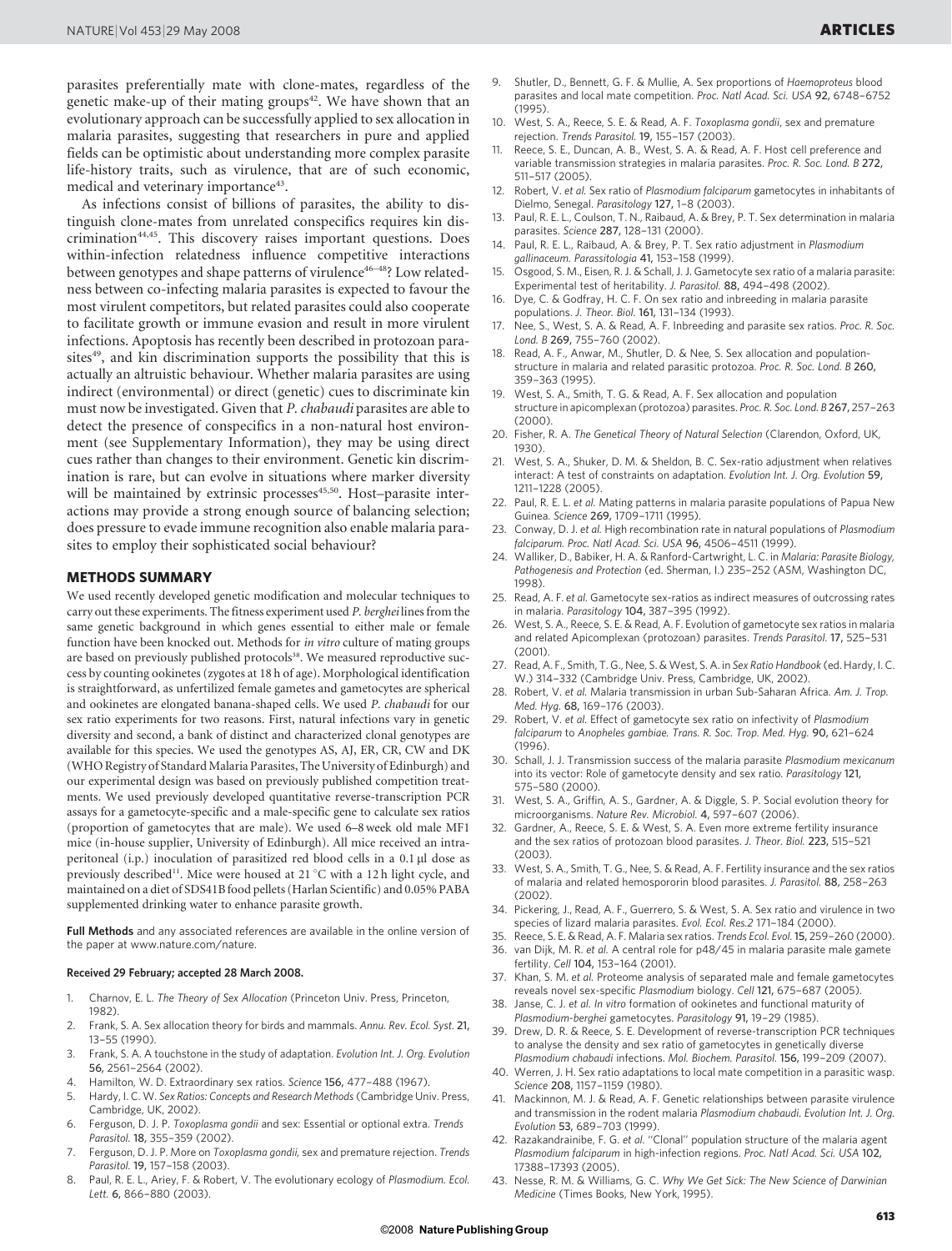parasites preferentially mate with clone-mates, regardless of the genetic make-up of their mating groups<sup>42</sup>. We have shown that an evolutionary approach can be successfully applied to sex allocation in malaria parasites, suggesting that researchers in pure and applied fields can be optimistic about understanding more complex parasite life-history traits, such as virulence, that are of such economic, medical and veterinary importance<sup>43</sup>.

As infections consist of billions of parasites, the ability to distinguish clone-mates from unrelated conspecifics requires kin discrimination44,45. This discovery raises important questions. Does within-infection relatedness influence competitive interactions between genotypes and shape patterns of virulence<sup>46-48</sup>? Low relatedness between co-infecting malaria parasites is expected to favour the most virulent competitors, but related parasites could also cooperate to facilitate growth or immune evasion and result in more virulent infections. Apoptosis has recently been described in protozoan parasites $49$ , and kin discrimination supports the possibility that this is actually an altruistic behaviour. Whether malaria parasites are using indirect (environmental) or direct (genetic) cues to discriminate kin must now be investigated. Given that P. chabaudi parasites are able to detect the presence of conspecifics in a non-natural host environment (see Supplementary Information), they may be using direct cues rather than changes to their environment. Genetic kin discrimination is rare, but can evolve in situations where marker diversity will be maintained by extrinsic processes<sup>45,50</sup>. Host-parasite interactions may provide a strong enough source of balancing selection; does pressure to evade immune recognition also enable malaria parasites to employ their sophisticated social behaviour?

#### METHODS SUMMARY

We used recently developed genetic modification and molecular techniques to carry out these experiments. The fitness experiment used P. berghei lines from the same genetic background in which genes essential to either male or female function have been knocked out. Methods for in vitro culture of mating groups are based on previously published protocols<sup>38</sup>. We measured reproductive success by counting ookinetes (zygotes at 18 h of age). Morphological identification is straightforward, as unfertilized female gametes and gametocytes are spherical and ookinetes are elongated banana-shaped cells. We used P. chabaudi for our sex ratio experiments for two reasons. First, natural infections vary in genetic diversity and second, a bank of distinct and characterized clonal genotypes are available for this species. We used the genotypes AS, AJ, ER, CR, CW and DK (WHO Registry of Standard Malaria Parasites, The University of Edinburgh) and our experimental design was based on previously published competition treatments. We used previously developed quantitative reverse-transcription PCR assays for a gametocyte-specific and a male-specific gene to calculate sex ratios (proportion of gametocytes that are male). We used 6–8 week old male MF1 mice (in-house supplier, University of Edinburgh). All mice received an intraperitoneal (i.p.) inoculation of parasitized red blood cells in a 0.1 µl dose as previously described<sup>11</sup>. Mice were housed at 21  $^{\circ}$ C with a 12 h light cycle, and maintained on a diet of SDS41B food pellets (Harlan Scientific) and 0.05% PABA supplemented drinking water to enhance parasite growth.

Full Methods and any associated references are available in the online version of the paper at<www.nature.com/nature>.

#### Received 29 February; accepted 28 March 2008.

- 1. Charnov, E. L. The Theory of Sex Allocation (Princeton Univ. Press, Princeton, 1982).
- 2. Frank, S. A. Sex allocation theory for birds and mammals. Annu. Rev. Ecol. Syst. 21, 13–55 (1990).
- 3. Frank, S. A. A touchstone in the study of adaptation. Evolution Int. J. Org. Evolution 56, 2561–2564 (2002).
- 4. Hamilton, W. D. Extraordinary sex ratios. Science 156, 477–488 (1967).
- Hardy, I. C. W. Sex Ratios: Concepts and Research Methods (Cambridge Univ. Press, Cambridge, UK, 2002).
- 6. Ferguson, D. J. P. Toxoplasma gondii and sex: Essential or optional extra. Trends Parasitol. 18, 355–359 (2002).
- 7. Ferguson, D. J. P. More on Toxoplasma gondii, sex and premature rejection. Trends Parasitol. 19, 157–158 (2003).
- 8. Paul, R. E. L., Ariey, F. & Robert, V. The evolutionary ecology of Plasmodium. Ecol. Lett. 6, 866–880 (2003).
- 9. Shutler, D., Bennett, G. F. & Mullie, A. Sex proportions of Haemoproteus blood parasites and local mate competition. Proc. Natl Acad. Sci. USA 92, 6748–6752  $(1995)$
- 10. West, S. A., Reece, S. E. & Read, A. F. Toxoplasma gondii, sex and premature rejection. Trends Parasitol. 19, 155–157 (2003).
- 11. Reece, S. E., Duncan, A. B., West, S. A. & Read, A. F. Host cell preference and variable transmission strategies in malaria parasites. Proc. R. Soc. Lond. B 272, 511–517 (2005).
- 12. Robert, V. et al. Sex ratio of Plasmodium falciparum gametocytes in inhabitants of Dielmo, Senegal. Parasitology 127, 1–8 (2003).
- 13. Paul, R. E. L., Coulson, T. N., Raibaud, A. & Brey, P. T. Sex determination in malaria parasites. Science 287, 128–131 (2000).
- 14. Paul, R. E. L., Raibaud, A. & Brey, P. T. Sex ratio adjustment in Plasmodium gallinaceum. Parassitologia 41, 153–158 (1999).
- 15. Osgood, S. M., Eisen, R. J. & Schall, J. J. Gametocyte sex ratio of a malaria parasite: Experimental test of heritability. J. Parasitol. 88, 494–498 (2002).
- 16. Dye, C. & Godfray, H. C. F. On sex ratio and inbreeding in malaria parasite populations. J. Theor. Biol. 161, 131–134 (1993).
- 17. Nee, S., West, S. A. & Read, A. F. Inbreeding and parasite sex ratios. Proc. R. Soc. Lond. B 269, 755–760 (2002).
- 18. Read, A. F., Anwar, M., Shutler, D. & Nee, S. Sex allocation and populationstructure in malaria and related parasitic protozoa. Proc. R. Soc. Lond. B 260, 359–363 (1995).
- 19. West, S. A., Smith, T. G. & Read, A. F. Sex allocation and population structure in apicomplexan (protozoa) parasites. Proc. R. Soc. Lond. B 267, 257–263 (2000).
- 20. Fisher, R. A. The Genetical Theory of Natural Selection (Clarendon, Oxford, UK, 1930).
- 21. West, S. A., Shuker, D. M. & Sheldon, B. C. Sex-ratio adjustment when relatives interact: A test of constraints on adaptation. Evolution Int. J. Org. Evolution 59, 1211–1228 (2005).
- 22. Paul, R. E. L. et al. Mating patterns in malaria parasite populations of Papua New Guinea. Science 269, 1709–1711 (1995).
- 23. Conway, D. J. et al. High recombination rate in natural populations of Plasmodium falciparum. Proc. Natl Acad. Sci. USA 96, 4506–4511 (1999).
- 24. Walliker, D., Babiker, H. A. & Ranford-Cartwright, L. C. in Malaria: Parasite Biology, Pathogenesis and Protection (ed. Sherman, I.) 235–252 (ASM, Washington DC, 1998).
- 25. Read, A. F. et al. Gametocyte sex-ratios as indirect measures of outcrossing rates in malaria. Parasitology 104, 387–395 (1992).
- 26. West, S. A., Reece, S. E. & Read, A. F. Evolution of gametocyte sex ratios in malaria and related Apicomplexan (protozoan) parasites. Trends Parasitol. 17, 525–531 (2001).
- 27. Read, A. F., Smith, T. G., Nee, S. & West, S. A. in Sex Ratio Handbook (ed. Hardy, I. C. W.) 314-332 (Cambridge Univ. Press, Cambridge, UK, 2002).
- Robert, V. et al. Malaria transmission in urban Sub-Saharan Africa. Am. J. Trop. Med. Hyg. 68, 169–176 (2003).
- 29. Robert, V. et al. Effect of gametocyte sex ratio on infectivity of Plasmodium falciparum to Anopheles gambiae. Trans. R. Soc. Trop. Med. Hyg. 90, 621–624 (1996).
- 30. Schall, J. J. Transmission success of the malaria parasite Plasmodium mexicanum into its vector: Role of gametocyte density and sex ratio. Parasitology 121, 575–580 (2000).
- 31. West, S. A., Griffin, A. S., Gardner, A. & Diggle, S. P. Social evolution theory for microorganisms. Nature Rev. Microbiol. 4, 597–607 (2006).
- 32. Gardner, A., Reece, S. E. & West, S. A. Even more extreme fertility insurance and the sex ratios of protozoan blood parasites. J. Theor. Biol. 223, 515–521 (2003).
- 33. West, S. A., Smith, T. G., Nee, S. & Read, A. F. Fertility insurance and the sex ratios of malaria and related hemospororin blood parasites. J. Parasitol. 88, 258–263 (2002).
- 34. Pickering, J., Read, A. F., Guerrero, S. & West, S. A. Sex ratio and virulence in two species of lizard malaria parasites. Evol. Ecol. Res.2 171–184 (2000).
- 35. Reece, S. E. & Read, A. F. Malaria sex ratios. Trends Ecol. Evol. 15, 259–260 (2000).
- 36. van Dijk, M. R. et al. A central role for p48/45 in malaria parasite male gamete fertility. Cell 104, 153–164 (2001).
- 37. Khan, S. M. et al. Proteome analysis of separated male and female gametocytes reveals novel sex-specific Plasmodium biology. Cell 121, 675–687 (2005).
- 38. Janse, C. J. et al. In vitro formation of ookinetes and functional maturity of Plasmodium-berghei gametocytes. Parasitology 91, 19–29 (1985).
- 39. Drew, D. R. & Reece, S. E. Development of reverse-transcription PCR techniques to analyse the density and sex ratio of gametocytes in genetically diverse Plasmodium chabaudi infections. Mol. Biochem. Parasitol. 156, 199–209 (2007).
- 40. Werren, J. H. Sex ratio adaptations to local mate competition in a parasitic wasp. Science 208, 1157–1159 (1980).
- 41. Mackinnon, M. J. & Read, A. F. Genetic relationships between parasite virulence and transmission in the rodent malaria Plasmodium chabaudi. Evolution Int. J. Org. Evolution 53, 689–703 (1999).
- 42. Razakandrainibe, F. G. et al. ''Clonal'' population structure of the malaria agent Plasmodium falciparum in high-infection regions. Proc. Natl Acad. Sci. USA 102, 17388–17393 (2005).
- 43. Nesse, R. M. & Williams, G. C. Why We Get Sick: The New Science of Darwinian Medicine (Times Books, New York, 1995).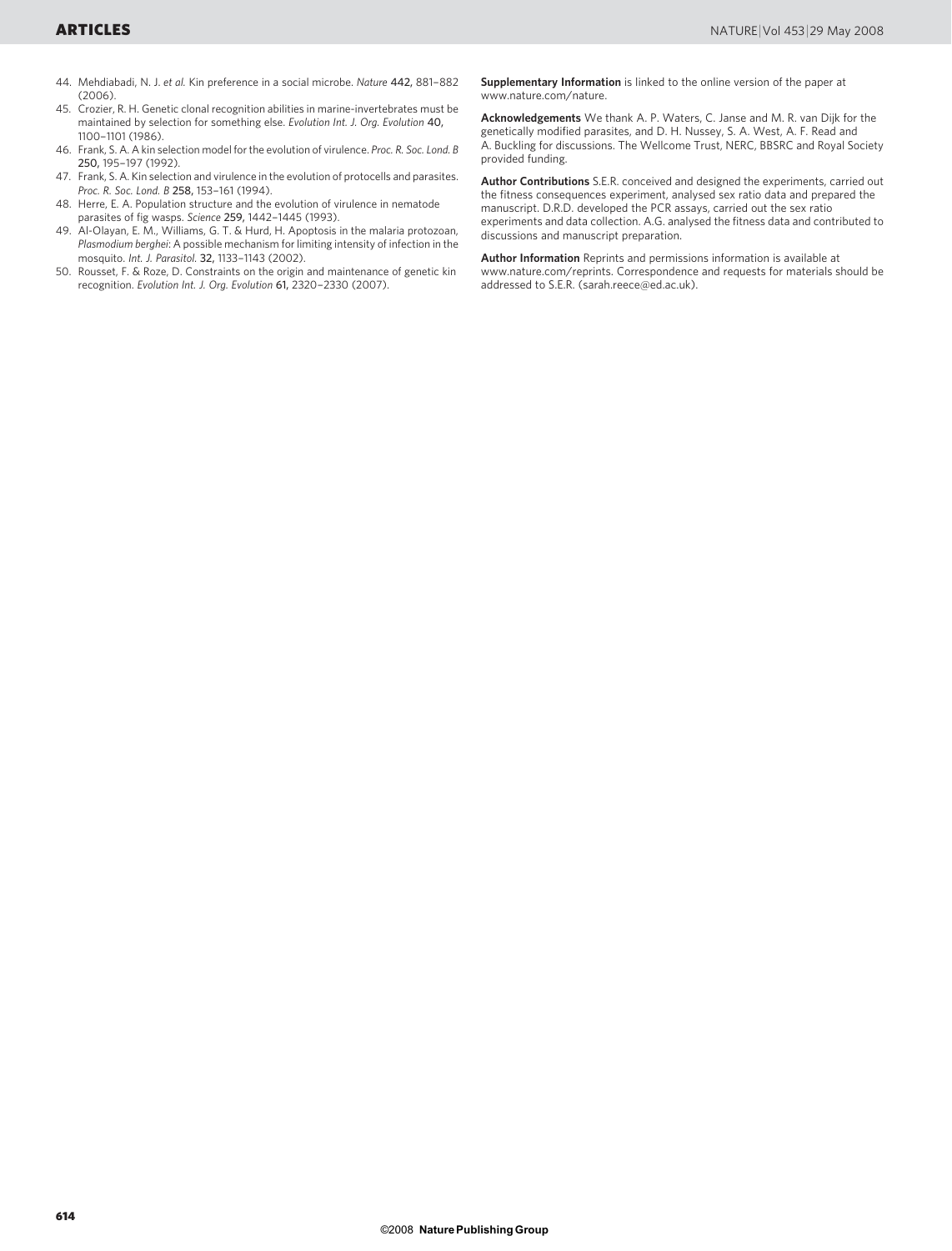- 44. Mehdiabadi, N. J. et al. Kin preference in a social microbe. Nature 442, 881–882  $(2006)$
- 45. Crozier, R. H. Genetic clonal recognition abilities in marine-invertebrates must be maintained by selection for something else. Evolution Int. J. Org. Evolution 40, 1100–1101 (1986).
- 46. Frank, S. A. A kin selection model for the evolution of virulence. Proc. R. Soc. Lond. B 250, 195–197 (1992).
- 47. Frank, S. A. Kin selection and virulence in the evolution of protocells and parasites. Proc. R. Soc. Lond. B 258, 153–161 (1994).
- 48. Herre, E. A. Population structure and the evolution of virulence in nematode parasites of fig wasps. Science 259, 1442–1445 (1993).
- 49. Al-Olayan, E. M., Williams, G. T. & Hurd, H. Apoptosis in the malaria protozoan, Plasmodium berghei: A possible mechanism for limiting intensity of infection in the mosquito. Int. J. Parasitol. 32, 1133–1143 (2002).
- 50. Rousset, F. & Roze, D. Constraints on the origin and maintenance of genetic kin recognition. Evolution Int. J. Org. Evolution 61, 2320–2330 (2007).

Supplementary Information is linked to the online version of the paper at <www.nature.com/nature>.

Acknowledgements We thank A. P. Waters, C. Janse and M. R. van Dijk for the genetically modified parasites, and D. H. Nussey, S. A. West, A. F. Read and A. Buckling for discussions. The Wellcome Trust, NERC, BBSRC and Royal Society provided funding.

Author Contributions S.E.R. conceived and designed the experiments, carried out the fitness consequences experiment, analysed sex ratio data and prepared the manuscript. D.R.D. developed the PCR assays, carried out the sex ratio experiments and data collection. A.G. analysed the fitness data and contributed to discussions and manuscript preparation.

Author Information Reprints and permissions information is available at <www.nature.com/reprints>. Correspondence and requests for materials should be addressed to S.E.R. [\(sarah.reece@ed.ac.uk\)](mailto:sarah.reece@ed.ac.uk).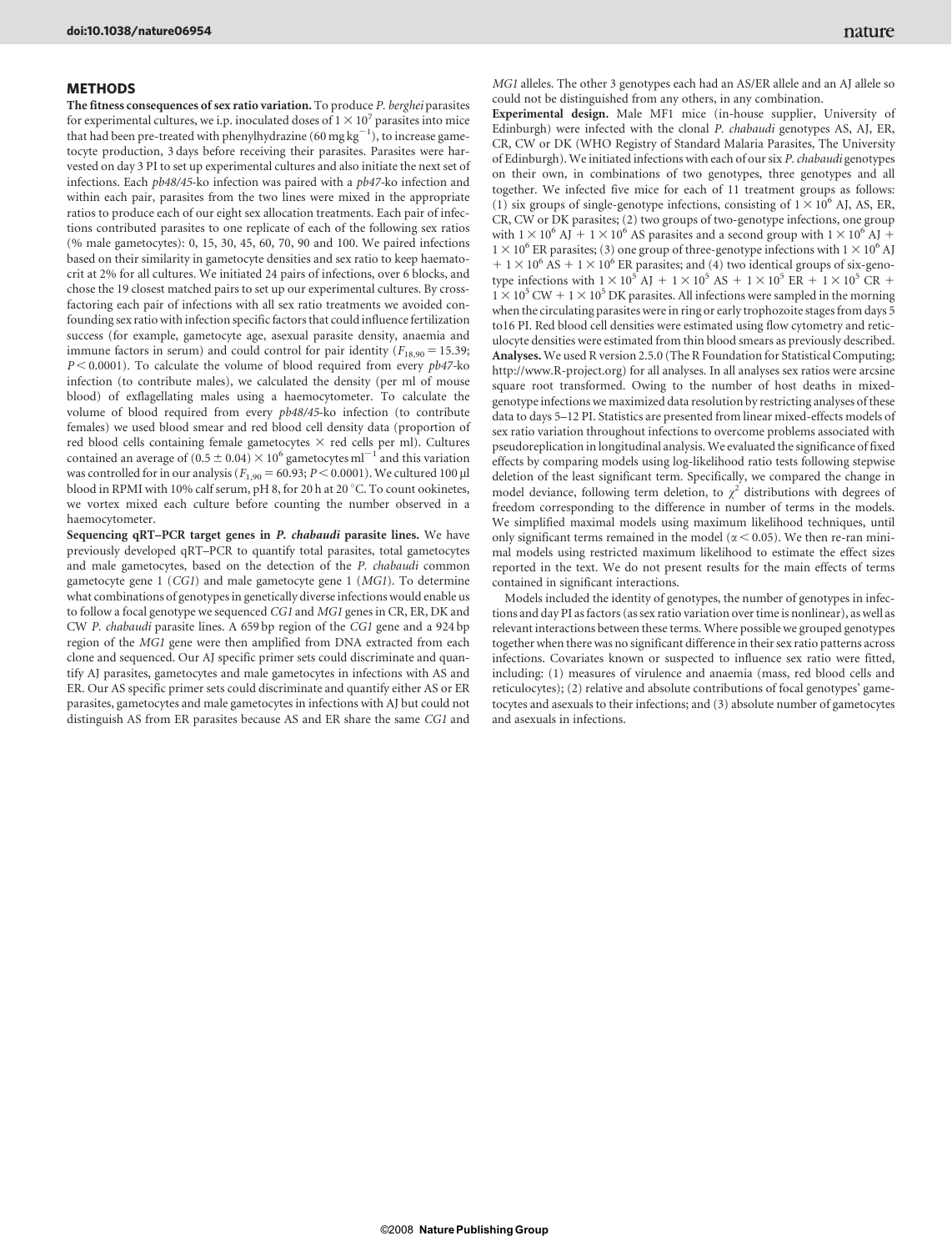#### **METHODS**

The fitness consequences of sex ratio variation. To produce P. berghei parasites for experimental cultures, we i.p. inoculated doses of  $1 \times 10^7$  parasites into mice that had been pre-treated with phenylhydrazine (60 mg  $\mathrm{kg^{-1}}$  ), to increase gametocyte production, 3 days before receiving their parasites. Parasites were harvested on day 3 PI to set up experimental cultures and also initiate the next set of infections. Each pb48/45-ko infection was paired with a pb47-ko infection and within each pair, parasites from the two lines were mixed in the appropriate ratios to produce each of our eight sex allocation treatments. Each pair of infections contributed parasites to one replicate of each of the following sex ratios (% male gametocytes): 0, 15, 30, 45, 60, 70, 90 and 100. We paired infections based on their similarity in gametocyte densities and sex ratio to keep haematocrit at 2% for all cultures. We initiated 24 pairs of infections, over 6 blocks, and chose the 19 closest matched pairs to set up our experimental cultures. By crossfactoring each pair of infections with all sex ratio treatments we avoided confounding sex ratio with infection specific factors that could influence fertilization success (for example, gametocyte age, asexual parasite density, anaemia and immune factors in serum) and could control for pair identity ( $F_{18,90} = 15.39$ ;  $P < 0.0001$ ). To calculate the volume of blood required from every  $p b47$ -ko infection (to contribute males), we calculated the density (per ml of mouse blood) of exflagellating males using a haemocytometer. To calculate the volume of blood required from every pb48/45-ko infection (to contribute females) we used blood smear and red blood cell density data (proportion of red blood cells containing female gametocytes  $\times$  red cells per ml). Cultures contained an average of (0.5  $\pm$  0.04)  $\times$  10<sup>6</sup> gametocytes ml<sup>-1</sup> and this variation was controlled for in our analysis ( $F_{1,90} = 60.93$ ;  $P < 0.0001$ ). We cultured 100 µl blood in RPMI with 10% calf serum, pH 8, for 20 h at 20 °C. To count ookinetes, we vortex mixed each culture before counting the number observed in a haemocytometer.

Sequencing qRT–PCR target genes in P. chabaudi parasite lines. We have previously developed qRT–PCR to quantify total parasites, total gametocytes and male gametocytes, based on the detection of the P. chabaudi common gametocyte gene 1 (CG1) and male gametocyte gene 1 (MG1). To determine what combinations of genotypes in genetically diverse infections would enable us to follow a focal genotype we sequenced CG1 and MG1 genes in CR, ER, DK and CW P. chabaudi parasite lines. A 659 bp region of the CG1 gene and a 924 bp region of the MG1 gene were then amplified from DNA extracted from each clone and sequenced. Our AJ specific primer sets could discriminate and quantify AJ parasites, gametocytes and male gametocytes in infections with AS and ER. Our AS specific primer sets could discriminate and quantify either AS or ER parasites, gametocytes and male gametocytes in infections with AJ but could not distinguish AS from ER parasites because AS and ER share the same CG1 and

MG1 alleles. The other 3 genotypes each had an AS/ER allele and an AJ allele so could not be distinguished from any others, in any combination.

Experimental design. Male MF1 mice (in-house supplier, University of Edinburgh) were infected with the clonal P. chabaudi genotypes AS, AJ, ER, CR, CW or DK (WHO Registry of Standard Malaria Parasites, The University of Edinburgh). We initiated infections with each of our six P. chabaudi genotypes on their own, in combinations of two genotypes, three genotypes and all together. We infected five mice for each of 11 treatment groups as follows: (1) six groups of single-genotype infections, consisting of  $1 \times 10^6$  AJ, AS, ER, CR, CW or DK parasites; (2) two groups of two-genotype infections, one group with  $1 \times 10^6$  AJ  $+ 1 \times 10^6$  AS parasites and a second group with  $1 \times 10^6$  AJ  $+$  $1 \times 10^6$  ER parasites; (3) one group of three-genotype infections with  $1 \times 10^6$  AJ  $1 + 1 \times 10^6$  AS  $+ 1 \times 10^6$  ER parasites; and (4) two identical groups of six-genotype infections with  $1 \times 10^5$  AJ  $+ 1 \times 10^5$  AS  $+ 1 \times 10^5$  ER  $+ 1 \times 10^5$  CR  $+$  $1 \times 10^5$  CW +  $1 \times 10^5$  DK parasites. All infections were sampled in the morning when the circulating parasites were in ring or early trophozoite stages from days 5 to16 PI. Red blood cell densities were estimated using flow cytometry and reticulocyte densities were estimated from thin blood smears as previously described. Analyses. We used R version 2.5.0 (The R Foundation for Statistical Computing; <http://www.R-project.org>) for all analyses. In all analyses sex ratios were arcsine square root transformed. Owing to the number of host deaths in mixedgenotype infections we maximized data resolution by restricting analyses of these data to days 5–12 PI. Statistics are presented from linear mixed-effects models of sex ratio variation throughout infections to overcome problems associated with pseudoreplication in longitudinal analysis. We evaluated the significance of fixed effects by comparing models using log-likelihood ratio tests following stepwise deletion of the least significant term. Specifically, we compared the change in model deviance, following term deletion, to  $\chi^2$  distributions with degrees of freedom corresponding to the difference in number of terms in the models. We simplified maximal models using maximum likelihood techniques, until only significant terms remained in the model ( $\alpha$  < 0.05). We then re-ran minimal models using restricted maximum likelihood to estimate the effect sizes reported in the text. We do not present results for the main effects of terms contained in significant interactions.

Models included the identity of genotypes, the number of genotypes in infections and day PI as factors (as sex ratio variation over time is nonlinear), as well as relevant interactions between these terms. Where possible we grouped genotypes together when there was no significant difference in their sex ratio patterns across infections. Covariates known or suspected to influence sex ratio were fitted, including: (1) measures of virulence and anaemia (mass, red blood cells and reticulocytes); (2) relative and absolute contributions of focal genotypes' gametocytes and asexuals to their infections; and (3) absolute number of gametocytes and asexuals in infections.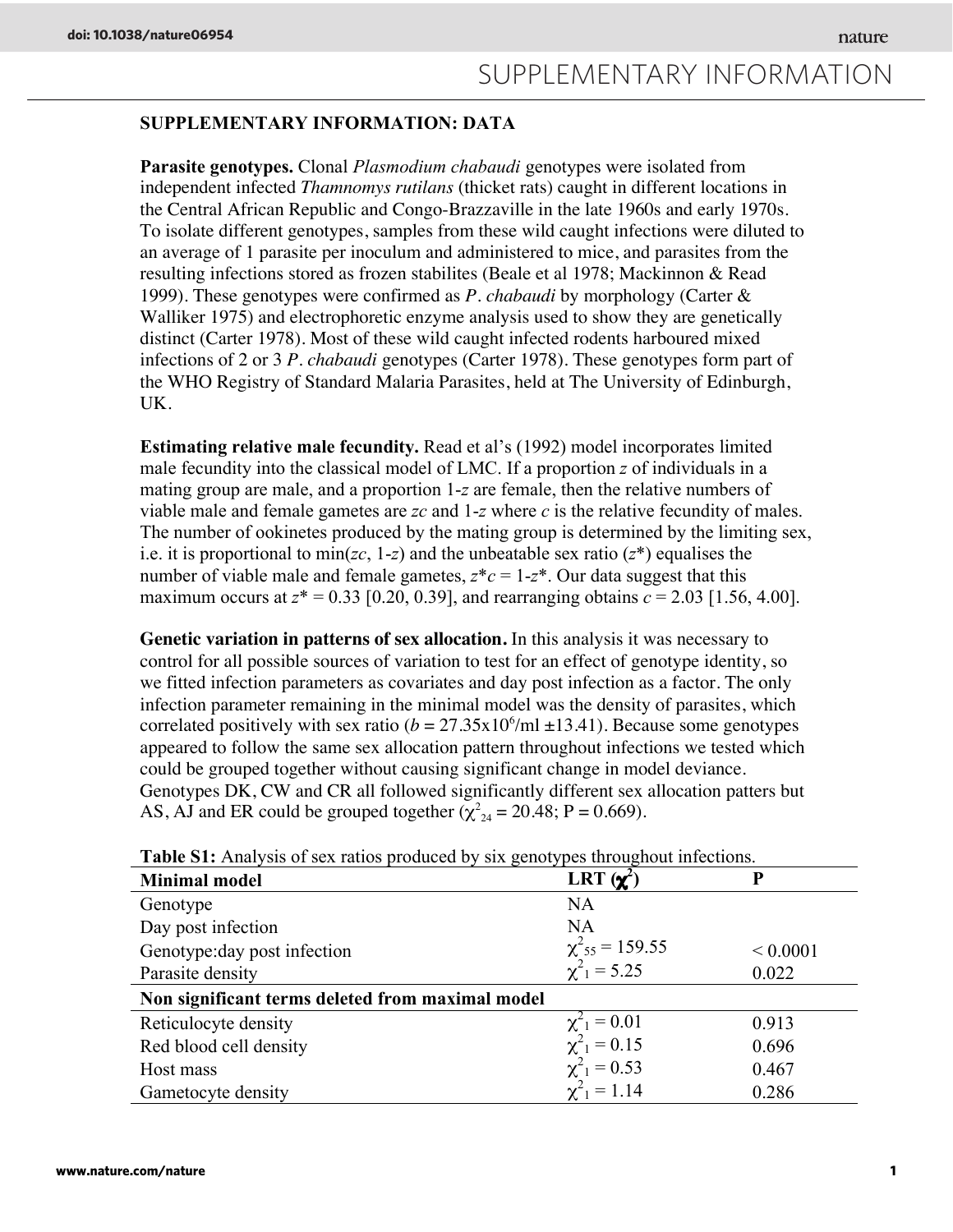## SUPPLEMENTARY INFORMATION: DATA

Parasite genotypes. Clonal *Plasmodium chabaudi* genotypes were isolated from independent infected *Thamnomys rutilans* (thicket rats) caught in different locations in the Central African Republic and Congo-Brazzaville in the late 1960s and early 1970s. To isolate different genotypes, samples from these wild caught infections were diluted to an average of 1 parasite per inoculum and administered to mice, and parasites from the resulting infections stored as frozen stabilites (Beale et al 1978; Mackinnon & Read 1999). These genotypes were confirmed as *P. chabaudi* by morphology (Carter & Walliker 1975) and electrophoretic enzyme analysis used to show they are genetically distinct (Carter 1978). Most of these wild caught infected rodents harboured mixed infections of 2 or 3 *P. chabaudi* genotypes (Carter 1978). These genotypes form part of the WHO Registry of Standard Malaria Parasites, held at The University of Edinburgh, UK.

Estimating relative male fecundity. Read et al's (1992) model incorporates limited male fecundity into the classical model of LMC. If a proportion *z* of individuals in a mating group are male, and a proportion 1-*z* are female, then the relative numbers of viable male and female gametes are *zc* and 1-*z* where *c* is the relative fecundity of males. The number of ookinetes produced by the mating group is determined by the limiting sex, i.e. it is proportional to min(*zc*, 1-*z*) and the unbeatable sex ratio (*z*\*) equalises the number of viable male and female gametes,  $z^*c = 1-z^*$ . Our data suggest that this maximum occurs at  $z^* = 0.33$  [0.20, 0.39], and rearranging obtains  $c = 2.03$  [1.56, 4.00].

**Genetic variation in patterns of sex allocation.** In this analysis it was necessary to control for all possible sources of variation to test for an effect of genotype identity, so we fitted infection parameters as covariates and day post infection as a factor. The only infection parameter remaining in the minimal model was the density of parasites, which correlated positively with sex ratio  $(b = 27.35 \times 10^6/\text{ml} \pm 13.41)$ . Because some genotypes appeared to follow the same sex allocation pattern throughout infections we tested which could be grouped together without causing significant change in model deviance. Genotypes DK, CW and CR all followed significantly different sex allocation patters but AS, AJ and ER could be grouped together  $(\chi^2_{24} = 20.48; P = 0.669)$ .

|                                                  | ╯╹                                          |              |
|--------------------------------------------------|---------------------------------------------|--------------|
| <b>Minimal model</b>                             | LRT $(\chi^2)$                              | P            |
| Genotype                                         | NA                                          |              |
| Day post infection                               | NA                                          |              |
| Genotype: day post infection                     | $\chi^2_{55} = 159.55$<br>$\chi^2_1 = 5.25$ | ${}< 0.0001$ |
| Parasite density                                 |                                             | 0.022        |
| Non significant terms deleted from maximal model |                                             |              |
| Reticulocyte density                             | $\chi^2_1 = 0.01$                           | 0.913        |
| Red blood cell density                           | $\chi^2_1 = 0.15$                           | 0.696        |
| Host mass                                        | $\chi^2_1 = 0.53$                           | 0.467        |
| Gametocyte density                               | $\chi^2_1 = 1.14$                           | 0.286        |

Table S1: Analysis of sex ratios produced by six genotypes throughout infections.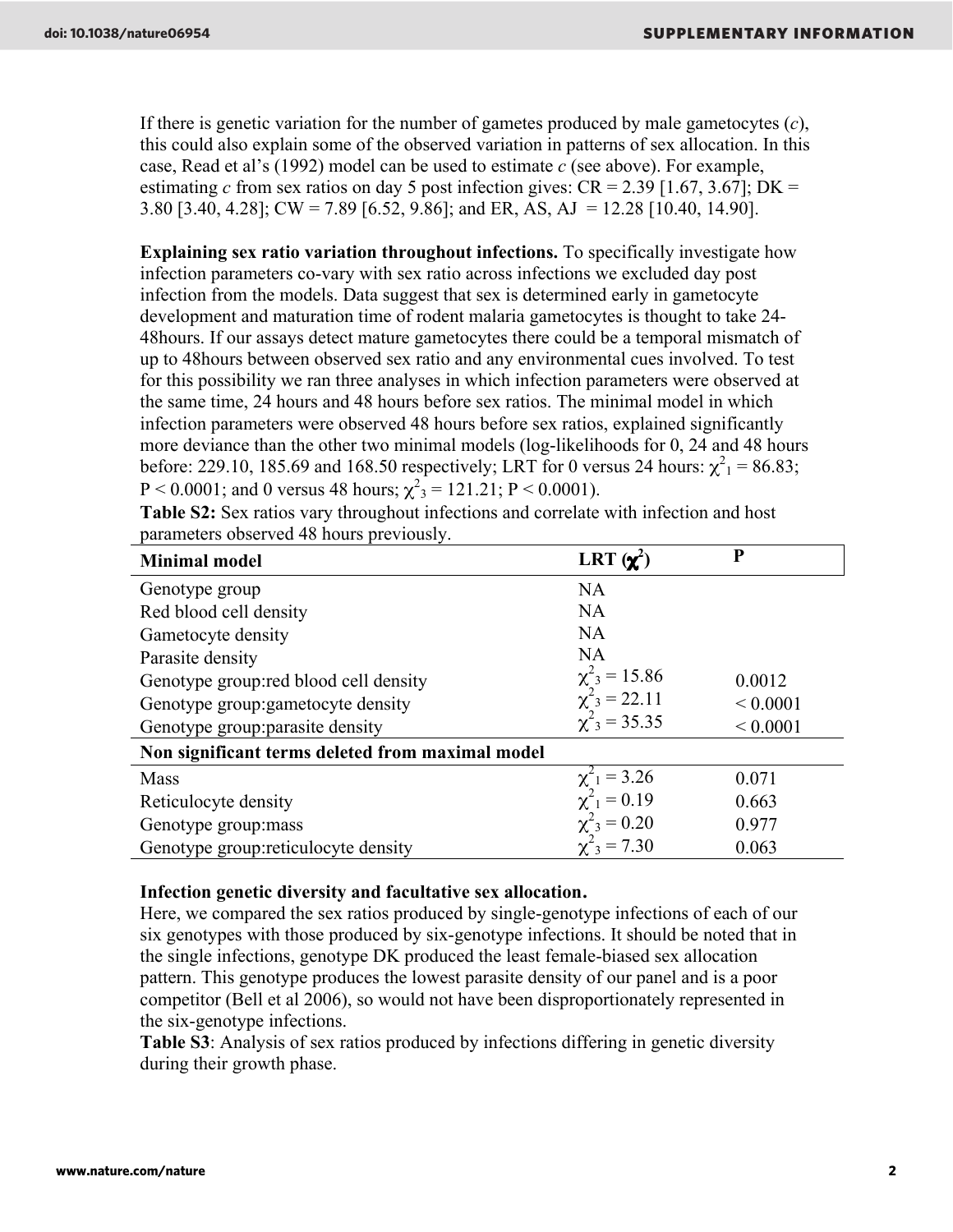If there is genetic variation for the number of gametes produced by male gametocytes (*c*), this could also explain some of the observed variation in patterns of sex allocation. In this case, Read et al's (1992) model can be used to estimate *c* (see above). For example, estimating *c* from sex ratios on day 5 post infection gives:  $CR = 2.39$  [1.67, 3.67]; DK = 3.80 [3.40, 4.28]; CW = 7.89 [6.52, 9.86]; and ER, AS, AJ = 12.28 [10.40, 14.90].

Explaining sex ratio variation throughout infections. To specifically investigate how infection parameters co-vary with sex ratio across infections we excluded day post infection from the models. Data suggest that sex is determined early in gametocyte development and maturation time of rodent malaria gametocytes is thought to take 24- 48hours. If our assays detect mature gametocytes there could be a temporal mismatch of up to 48hours between observed sex ratio and any environmental cues involved. To test for this possibility we ran three analyses in which infection parameters were observed at the same time, 24 hours and 48 hours before sex ratios. The minimal model in which infection parameters were observed 48 hours before sex ratios, explained significantly more deviance than the other two minimal models (log-likelihoods for 0, 24 and 48 hours before: 229.10, 185.69 and 168.50 respectively; LRT for 0 versus 24 hours:  $\chi^2_1 = 86.83$ ;  $P < 0.0001$ ; and 0 versus 48 hours;  $\chi^2$ <sub>3</sub> = 121.21; P < 0.0001).

Table S2: Sex ratios vary throughout infections and correlate with infection and host parameters observed 48 hours previously.

| <b>Minimal model</b>                             | LRT $(\chi^2)$                | P            |
|--------------------------------------------------|-------------------------------|--------------|
| Genotype group                                   | NA                            |              |
| Red blood cell density                           | <b>NA</b>                     |              |
| Gametocyte density                               | <b>NA</b>                     |              |
| Parasite density                                 | <b>NA</b>                     |              |
| Genotype group: red blood cell density           | $\chi^2_{3} = 15.86$          | 0.0012       |
| Genotype group: gametocyte density               | $\chi^2$ <sub>3</sub> = 22.11 | ${}< 0.0001$ |
| Genotype group: parasite density                 | $\chi^2_{3} = 35.35$          | ${}< 0.0001$ |
| Non significant terms deleted from maximal model |                               |              |
| <b>Mass</b>                                      | $\chi^2_1 = 3.26$             | 0.071        |
| Reticulocyte density                             | $\chi^2_{1} = 0.19$           | 0.663        |
| Genotype group: mass                             | $\chi^2_{3} = 0.20$           | 0.977        |
| Genotype group: reticulocyte density             | $\chi^2_{3} = 7.30$           | 0.063        |

### Infection genetic diversity and facultative sex allocation**.**

Here, we compared the sex ratios produced by single-genotype infections of each of our six genotypes with those produced by six-genotype infections. It should be noted that in the single infections, genotype DK produced the least female-biased sex allocation pattern. This genotype produces the lowest parasite density of our panel and is a poor competitor (Bell et al 2006), so would not have been disproportionately represented in the six-genotype infections.

Table S3: Analysis of sex ratios produced by infections differing in genetic diversity during their growth phase.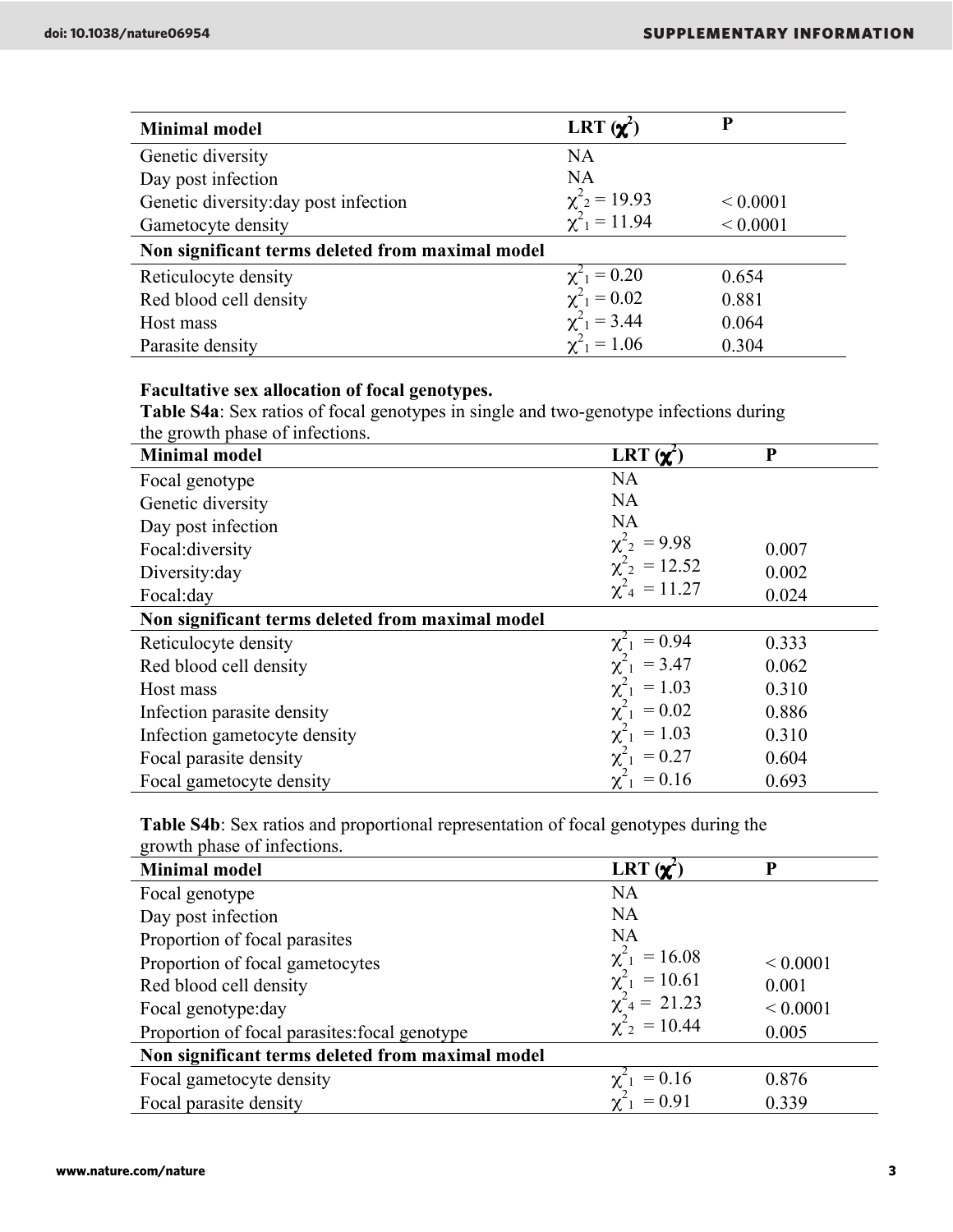| <b>Minimal model</b>                             | LRT $(\chi^2)$                                                 | P            |
|--------------------------------------------------|----------------------------------------------------------------|--------------|
| Genetic diversity                                | NA                                                             |              |
| Day post infection                               | NA                                                             |              |
| Genetic diversity: day post infection            | $\chi^2$ <sub>2</sub> = 19.93<br>$\chi^2$ <sub>1</sub> = 11.94 | ${}< 0.0001$ |
| Gametocyte density                               |                                                                | ${}< 0.0001$ |
| Non significant terms deleted from maximal model |                                                                |              |
| Reticulocyte density                             | $\chi^2_1 = 0.20$                                              | 0.654        |
| Red blood cell density                           | $\chi^2_1 = 0.02$                                              | 0.881        |
| Host mass                                        | $\chi^2_1 = 3.44$                                              | 0.064        |
| Parasite density                                 | $\chi^2_1 = 1.06$                                              | 0.304        |

## Facultative sex allocation of focal genotypes.

Table S4a: Sex ratios of focal genotypes in single and two-genotype infections during the growth phase of infections.

| $\frac{1}{2}$<br><b>Minimal model</b>            | LRT $(\chi^2)$       | P     |
|--------------------------------------------------|----------------------|-------|
| Focal genotype                                   | <b>NA</b>            |       |
| Genetic diversity                                | <b>NA</b>            |       |
| Day post infection                               | <b>NA</b>            |       |
| Focal: diversity                                 | $\chi^2_{2} = 9.98$  | 0.007 |
| Diversity: day                                   | $\chi^2_{2} = 12.52$ | 0.002 |
| Focal: day                                       | $\chi^2_{4} = 11.27$ | 0.024 |
| Non significant terms deleted from maximal model |                      |       |
| Reticulocyte density                             | $= 0.94$             | 0.333 |
| Red blood cell density                           | $\chi^2_{1} = 3.47$  | 0.062 |
| Host mass                                        | $\chi^2_{1} = 1.03$  | 0.310 |
| Infection parasite density                       | $\chi^2_{1} = 0.02$  | 0.886 |
| Infection gametocyte density                     | $\chi^2_{1} = 1.03$  | 0.310 |
| Focal parasite density                           | $\chi^2_{1} = 0.27$  | 0.604 |
| Focal gametocyte density                         | $= 0.16$             | 0.693 |

Table S4b: Sex ratios and proportional representation of focal genotypes during the growth phase of infections.

| <b>Minimal model</b>                             | LRT $(\chi^2)$                           | P            |
|--------------------------------------------------|------------------------------------------|--------------|
| Focal genotype                                   | <b>NA</b>                                |              |
| Day post infection                               | NA                                       |              |
| Proportion of focal parasites                    | NA                                       |              |
| Proportion of focal gametocytes                  | $\chi^2_{1} = 16.08$                     | ${}< 0.0001$ |
| Red blood cell density                           | $\chi^2_{1} = 10.61$                     | 0.001        |
| Focal genotype: day                              | $\chi^2_4$ = 21.23<br>$\chi^2_2$ = 10.44 | ${}< 0.0001$ |
| Proportion of focal parasites: focal genotype    |                                          | 0.005        |
| Non significant terms deleted from maximal model |                                          |              |
| Focal gametocyte density                         | $\chi^2_{1} = 0.16$                      | 0.876        |
| Focal parasite density                           | $\chi^2_1$ = 0.91                        | 0.339        |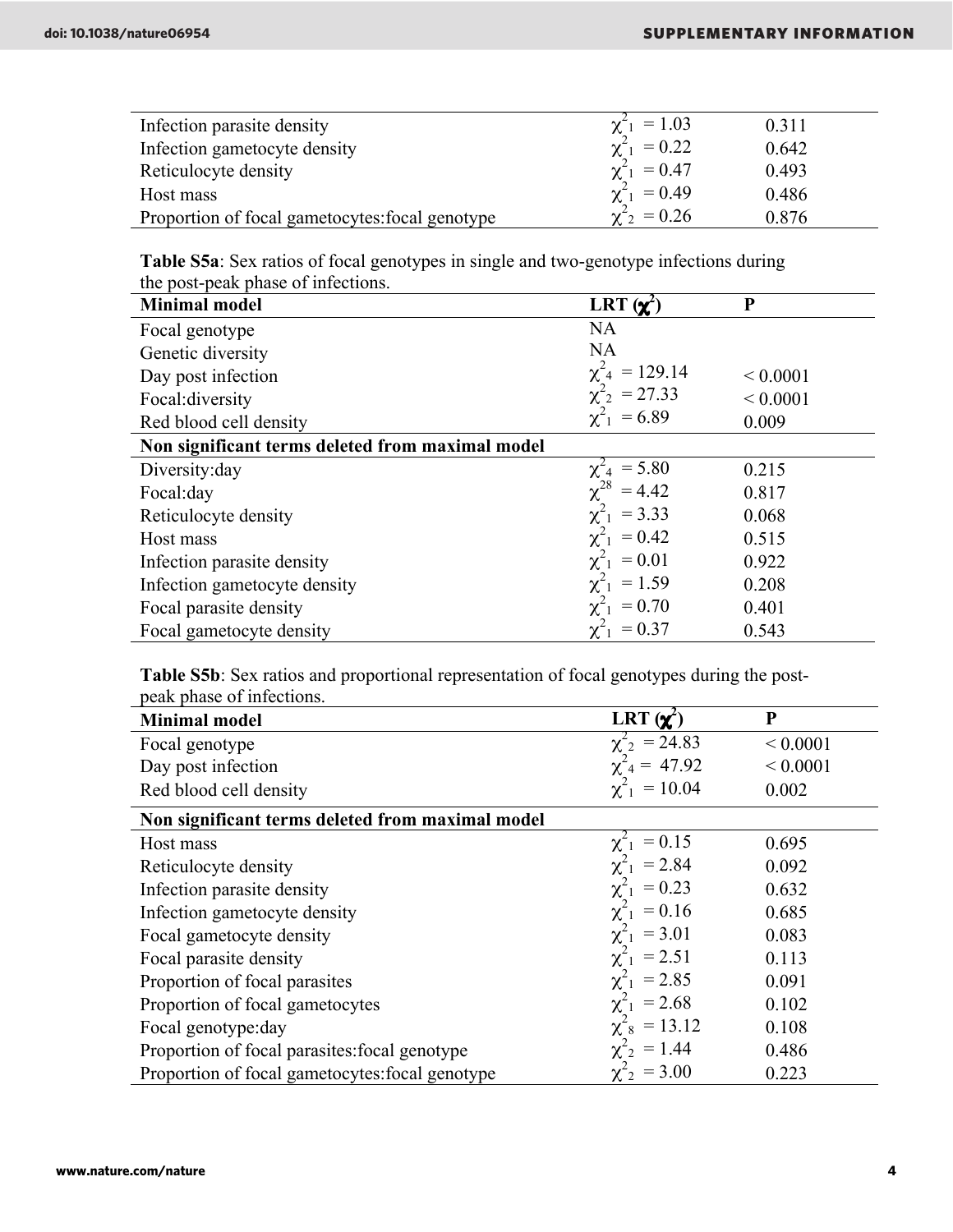| Infection parasite density                      | $\chi^2_{-1} = 1.03$         | 0.311 |  |
|-------------------------------------------------|------------------------------|-------|--|
| Infection gametocyte density                    | $\chi^2_{-1} = 0.22$         | 0.642 |  |
| Reticulocyte density                            | $\chi^2_{1} = 0.47$          | 0.493 |  |
| Host mass                                       | $\chi^2_{1} = 0.49$          | 0.486 |  |
| Proportion of focal gametocytes: focal genotype | $\chi^2$ <sub>2</sub> = 0.26 | 0.876 |  |

Table S5a: Sex ratios of focal genotypes in single and two-genotype infections during the post-peak phase of infections.

| <b>Minimal model</b>                             | LRT $(\chi^2)$            | P            |
|--------------------------------------------------|---------------------------|--------------|
| Focal genotype                                   | NA                        |              |
| Genetic diversity                                | <b>NA</b>                 |              |
| Day post infection                               | $= 129.14$                | ${}< 0.0001$ |
| Focal: diversity                                 | $\chi^2_{2} = 27.33$      | ${}< 0.0001$ |
| Red blood cell density                           | $\chi^2_{-1} = 6.89$      | 0.009        |
| Non significant terms deleted from maximal model |                           |              |
| Diversity: day                                   | $\chi^2_{4} = 5.80$       | 0.215        |
| Focal:day                                        | $= 4.42$                  | 0.817        |
| Reticulocyte density                             | $\chi^2_{1}$ = 3.33       | 0.068        |
| Host mass                                        | $\chi^2$<br>$= 0.42$      | 0.515        |
| Infection parasite density                       | $\chi^2_{-1}$<br>$= 0.01$ | 0.922        |
| Infection gametocyte density                     | $\chi^2_{-1} = 1.59$      | 0.208        |
| Focal parasite density                           | $\chi^2_{1} = 0.70$       | 0.401        |
| Focal gametocyte density                         | $\chi^2_{1} = 0.37$       | 0.543        |

Table S5b: Sex ratios and proportional representation of focal genotypes during the postpeak phase of infections.

| <b>Minimal model</b>                             | LRT $(\chi^2)$               | $\mathbf{P}$ |
|--------------------------------------------------|------------------------------|--------------|
| Focal genotype                                   | $\chi^2_{2} = 24.83$         | ${}< 0.0001$ |
| Day post infection                               | $\chi^2_{4} = 47.92$         | ${}< 0.0001$ |
| Red blood cell density                           | $\chi^2_{-1} = 10.04$        | 0.002        |
| Non significant terms deleted from maximal model |                              |              |
| Host mass                                        | $= 0.15$                     | 0.695        |
| Reticulocyte density                             | $\chi^2_{-1}$ = 2.84         | 0.092        |
| Infection parasite density                       | $\chi^2_{1} = 0.23$          | 0.632        |
| Infection gametocyte density                     | $\chi^2_{1} = 0.16$          | 0.685        |
| Focal gametocyte density                         | $\chi^2_{1}$ = 3.01          | 0.083        |
| Focal parasite density                           | $\chi^2_{1}$ = 2.51          | 0.113        |
| Proportion of focal parasites                    | $\chi^2_{-1}$ = 2.85         | 0.091        |
| Proportion of focal gametocytes                  | $\chi^2_{1}$ = 2.68          | 0.102        |
| Focal genotype: day                              | $\chi^2_{8} = 13.12$         | 0.108        |
| Proportion of focal parasities: focal genotype   | $\chi^2_{2} = 1.44$          | 0.486        |
| Proportion of focal gametocytes: focal genotype  | $\chi^2$ <sub>2</sub> = 3.00 | 0.223        |